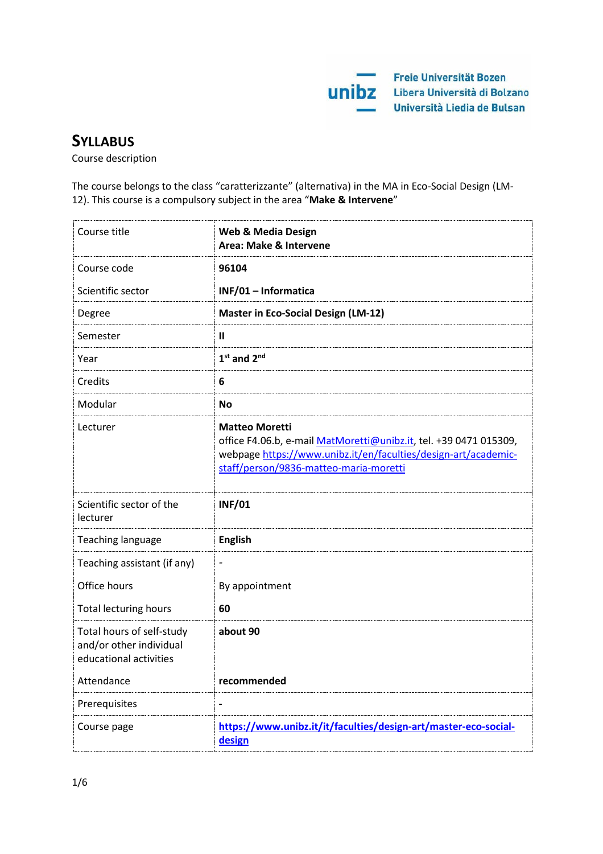

# **SYLLABUS**

Course description

The course belongs to the class "caratterizzante" (alternativa) in the MA in Eco-Social Design (LM-12). This course is a compulsory subject in the area "**Make & Intervene**"

| Course title                                                                   | <b>Web &amp; Media Design</b><br>Area: Make & Intervene                                                                                                                                                |
|--------------------------------------------------------------------------------|--------------------------------------------------------------------------------------------------------------------------------------------------------------------------------------------------------|
| Course code                                                                    | 96104                                                                                                                                                                                                  |
| Scientific sector                                                              | INF/01 - Informatica                                                                                                                                                                                   |
| Degree                                                                         | <b>Master in Eco-Social Design (LM-12)</b>                                                                                                                                                             |
| Semester                                                                       | Ш                                                                                                                                                                                                      |
| Year                                                                           | $1st$ and $2nd$                                                                                                                                                                                        |
| Credits                                                                        | 6                                                                                                                                                                                                      |
| Modular                                                                        | <b>No</b>                                                                                                                                                                                              |
| Lecturer                                                                       | <b>Matteo Moretti</b><br>office F4.06.b, e-mail MatMoretti@unibz.it, tel. +39 0471 015309,<br>webpage https://www.unibz.it/en/faculties/design-art/academic-<br>staff/person/9836-matteo-maria-moretti |
| Scientific sector of the<br>lecturer                                           | <b>INF/01</b>                                                                                                                                                                                          |
| Teaching language                                                              | <b>English</b>                                                                                                                                                                                         |
| Teaching assistant (if any)                                                    | $\qquad \qquad \blacksquare$                                                                                                                                                                           |
| Office hours                                                                   | By appointment                                                                                                                                                                                         |
| <b>Total lecturing hours</b>                                                   | 60                                                                                                                                                                                                     |
| Total hours of self-study<br>and/or other individual<br>educational activities | about 90                                                                                                                                                                                               |
| Attendance                                                                     | recommended                                                                                                                                                                                            |
| Prerequisites                                                                  | $\blacksquare$                                                                                                                                                                                         |
| Course page                                                                    | https://www.unibz.it/it/faculties/design-art/master-eco-social-<br>design                                                                                                                              |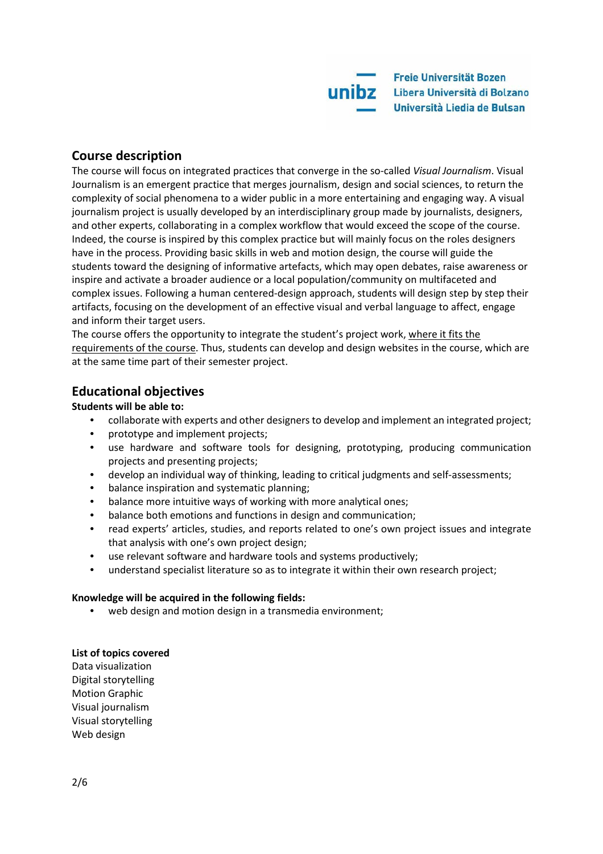# **Course description**

The course will focus on integrated practices that converge in the so-called *Visual Journalism*. Visual Journalism is an emergent practice that merges journalism, design and social sciences, to return the complexity of social phenomena to a wider public in a more entertaining and engaging way. A visual journalism project is usually developed by an interdisciplinary group made by journalists, designers, and other experts, collaborating in a complex workflow that would exceed the scope of the course. Indeed, the course is inspired by this complex practice but will mainly focus on the roles designers have in the process. Providing basic skills in web and motion design, the course will guide the students toward the designing of informative artefacts, which may open debates, raise awareness or inspire and activate a broader audience or a local population/community on multifaceted and complex issues. Following a human centered-design approach, students will design step by step their artifacts, focusing on the development of an effective visual and verbal language to affect, engage and inform their target users.

The course offers the opportunity to integrate the student's project work, where it fits the requirements of the course. Thus, students can develop and design websites in the course, which are at the same time part of their semester project.

# **Educational objectives**

**Students will be able to:**

- collaborate with experts and other designers to develop and implement an integrated project;
- prototype and implement projects;
- use hardware and software tools for designing, prototyping, producing communication projects and presenting projects;
- develop an individual way of thinking, leading to critical judgments and self-assessments;
- balance inspiration and systematic planning;
- balance more intuitive ways of working with more analytical ones;
- balance both emotions and functions in design and communication;
- read experts' articles, studies, and reports related to one's own project issues and integrate that analysis with one's own project design;
- use relevant software and hardware tools and systems productively;
- understand specialist literature so as to integrate it within their own research project;

#### **Knowledge will be acquired in the following fields:**

• web design and motion design in a transmedia environment;

#### **List of topics covered**

Data visualization Digital storytelling Motion Graphic Visual journalism Visual storytelling Web design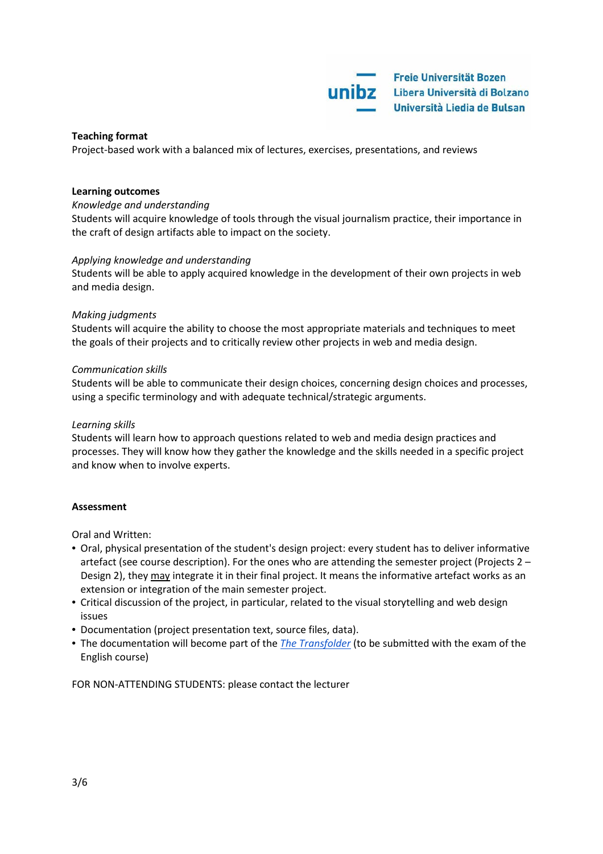Freie Universität Bozen unibz Libera Università di Bolzano Università Liedia de Bulsan

#### **Teaching format**

Project-based work with a balanced mix of lectures, exercises, presentations, and reviews

#### **Learning outcomes**

#### *Knowledge and understanding*

Students will acquire knowledge of tools through the visual journalism practice, their importance in the craft of design artifacts able to impact on the society.

#### *Applying knowledge and understanding*

Students will be able to apply acquired knowledge in the development of their own projects in web and media design.

#### *Making judgments*

Students will acquire the ability to choose the most appropriate materials and techniques to meet the goals of their projects and to critically review other projects in web and media design.

#### *Communication skills*

Students will be able to communicate their design choices, concerning design choices and processes, using a specific terminology and with adequate technical/strategic arguments.

#### *Learning skills*

Students will learn how to approach questions related to web and media design practices and processes. They will know how they gather the knowledge and the skills needed in a specific project and know when to involve experts.

#### **Assessment**

Oral and Written:

- Oral, physical presentation of the student's design project: every student has to deliver informative artefact (see course description). For the ones who are attending the semester project (Projects 2 – Design 2), they may integrate it in their final project. It means the informative artefact works as an extension or integration of the main semester project.
- Critical discussion of the project, in particular, related to the visual storytelling and web design issues
- Documentation (project presentation text, source files, data).
- The documentation will become part of the *The [Transfolder](https://docs.google.com/document/d/1ok7oar_tqrw80F_RSatHrKX_9F1emHi2gsPuwjR4U4Q/edit?usp=sharing)* (to be submitted with the exam of the English course)

FOR NON-ATTENDING STUDENTS: please contact the lecturer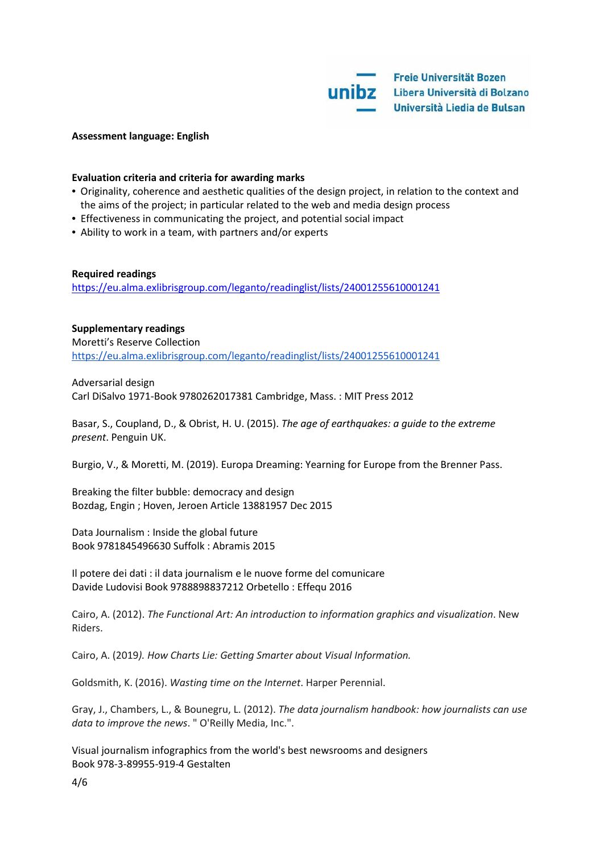

#### **Assessment language: English**

#### **Evaluation criteria and criteria for awarding marks**

- Originality, coherence and aesthetic qualities of the design project, in relation to the context and the aims of the project; in particular related to the web and media design process
- Effectiveness in communicating the project, and potential social impact
- Ability to work in a team, with partners and/or experts

#### **Required readings**

<https://eu.alma.exlibrisgroup.com/leganto/readinglist/lists/24001255610001241>

**Supplementary readings** Moretti's Reserve Collection <https://eu.alma.exlibrisgroup.com/leganto/readinglist/lists/24001255610001241>

Adversarial design Carl DiSalvo 1971-Book 9780262017381 Cambridge, Mass. : MIT Press 2012

Basar, S., Coupland, D., & Obrist, H. U. (2015). *The age of earthquakes: a guide to the extreme present*. Penguin UK.

Burgio, V., & Moretti, M. (2019). Europa Dreaming: Yearning for Europe from the Brenner Pass.

Breaking the filter bubble: democracy and design Bozdag, Engin ; Hoven, Jeroen Article 13881957 Dec 2015

Data Journalism : Inside the global future Book 9781845496630 Suffolk : Abramis 2015

Il potere dei dati : il data journalism e le nuove forme del comunicare Davide Ludovisi Book 9788898837212 Orbetello : Effequ 2016

Cairo, A. (2012). *The Functional Art: An introduction to information graphics and visualization*. New Riders.

Cairo, A. (2019*). How Charts Lie: Getting Smarter about Visual Information.*

Goldsmith, K. (2016). *Wasting time on the Internet*. Harper Perennial.

Gray, J., Chambers, L., & Bounegru, L. (2012). *The data journalism handbook: how journalists can use data to improve the news*. " O'Reilly Media, Inc.".

Visual journalism infographics from the world's best newsrooms and designers Book 978-3-89955-919-4 Gestalten

4/6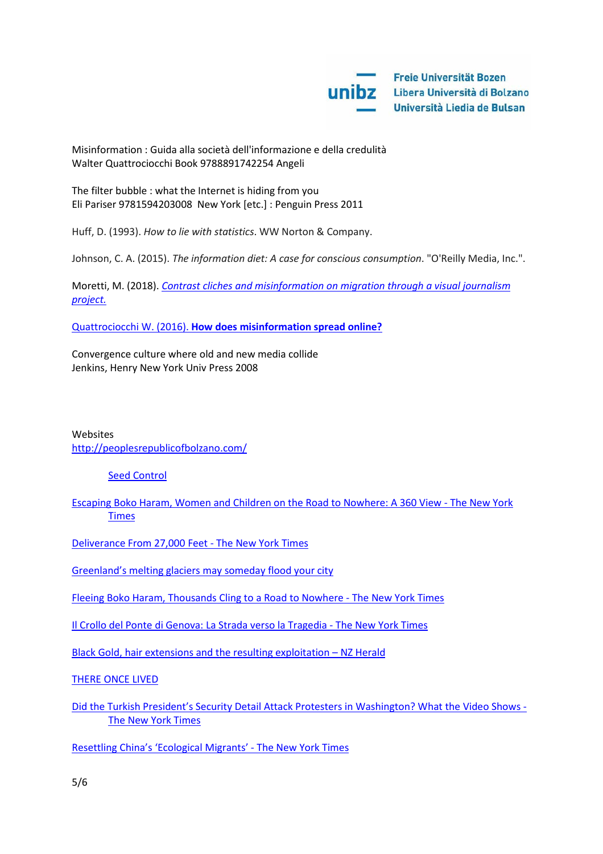Misinformation : Guida alla società dell'informazione e della credulità Walter Quattrociocchi Book 9788891742254 Angeli

The filter bubble : what the Internet is hiding from you Eli Pariser 9781594203008 New York [etc.] : Penguin Press 2011

Huff, D. (1993). *How to lie with statistics*. WW Norton & Company.

Johnson, C. A. (2015). *The information diet: A case for conscious consumption*. "O'Reilly Media, Inc.".

Moretti, M. (2018). *[Contrast cliches and misinformation on migration](https://medium.com/we-are-sheldon/visual-journalism-and-dominant-narratives-e7bd7ff7728d) through a visual journalism [project.](https://medium.com/we-are-sheldon/visual-journalism-and-dominant-narratives-e7bd7ff7728d)*

[Quattrociocchi W. \(2016\).](https://www.weforum.org/agenda/2016/01/q-a-walter-quattrociocchi-digital-wildfires/) **[How does misinformation spread online?](https://www.weforum.org/agenda/2016/01/q-a-walter-quattrociocchi-digital-wildfires/)**

Convergence culture where old and new media collide Jenkins, Henry New York Univ Press 2008

## Websites <http://peoplesrepublicofbolzano.com/>

### [Seed Control](http://seedcontrol.eu/market.php)

[Escaping Boko Haram, Women and Children on the Road to Nowhere: A 360 View -](https://www.nytimes.com/interactive/2017/04/02/world/africa/escaping-boko-haram-on-the-road-to-nowhere-a-360-view.html?mtrref=www.nytimes.com&mtrref=www.nytimes.com&mtrref=www.nytimes.com&mtrref=www.nytimes.com&mtrref=www.nytimes.com&mtrref=www.nytimes.com&gwh=A99B28EE7B0F8381D6EC0A9EF99EFB8F&gwt=pay) The New York [Times](https://www.nytimes.com/interactive/2017/04/02/world/africa/escaping-boko-haram-on-the-road-to-nowhere-a-360-view.html?mtrref=www.nytimes.com&mtrref=www.nytimes.com&mtrref=www.nytimes.com&mtrref=www.nytimes.com&mtrref=www.nytimes.com&mtrref=www.nytimes.com&gwh=A99B28EE7B0F8381D6EC0A9EF99EFB8F&gwt=pay)

[Deliverance From 27,000 Feet -](https://www.nytimes.com/interactive/2017/12/18/sports/everest-deaths.html?_r=0&mtrref=undefined&mtrref=www.nytimes.com&mtrref=www.nytimes.com&gwh=AC2ACC03FA4FEFBBE469F9C27872F94F&gwt=pay) The New York Times

[Greenland's melting glaciers may someday flood your city](https://edition.cnn.com/interactive/2017/11/world/greenland-global-warning/)

[Fleeing Boko Haram, Thousands Cling to a Road to Nowhere -](https://www.nytimes.com/interactive/2017/03/30/world/africa/the-road-to-nowhere-niger.html) The New York Times

[Il Crollo del Ponte di Genova: La Strada verso la Tragedia -](https://www.nytimes.com/interactive/2018/09/08/world/europe/genoa-italy-bridge-italian.html?mtrref=www.google.com&mtrref=www.nytimes.com&mtrref=www.nytimes.com&gwh=AD5408D5BF81BF07D5049DA7C68E1628&gwt=pay) The New York Times

[Black Gold, hair extensions and the resulting exploitation –](https://www.nzherald.co.nz/indepth/national/black-gold/) NZ Herald

[THERE ONCE LIVED](https://takiedela.ru/homeless/en/+)

[Did the Turkish President's Security Detail Attack Protesters in Washington? What the Video Shows -](https://www.nytimes.com/interactive/2017/05/26/us/turkey-protesters-attack-video-analysis.html) [The New York Times](https://www.nytimes.com/interactive/2017/05/26/us/turkey-protesters-attack-video-analysis.html)

[Resettling China's 'Ecological Migrants' -](https://www.nytimes.com/interactive/2016/10/25/world/asia/china-climate-change-resettlement.html?mtrref=www.google.com&gwh=E9265D656928AD73C07A5EA85616DC0F&gwt=pay) The New York Times